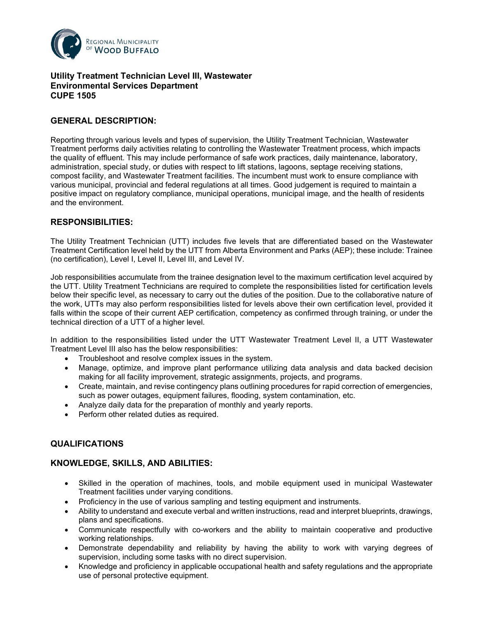

### **Utility Treatment Technician Level III, Wastewater Environmental Services Department CUPE 1505**

### **GENERAL DESCRIPTION:**

Reporting through various levels and types of supervision, the Utility Treatment Technician, Wastewater Treatment performs daily activities relating to controlling the Wastewater Treatment process, which impacts the quality of effluent. This may include performance of safe work practices, daily maintenance, laboratory, administration, special study, or duties with respect to lift stations, lagoons, septage receiving stations, compost facility, and Wastewater Treatment facilities. The incumbent must work to ensure compliance with various municipal, provincial and federal regulations at all times. Good judgement is required to maintain a positive impact on regulatory compliance, municipal operations, municipal image, and the health of residents and the environment.

#### **RESPONSIBILITIES:**

The Utility Treatment Technician (UTT) includes five levels that are differentiated based on the Wastewater Treatment Certification level held by the UTT from Alberta Environment and Parks (AEP); these include: Trainee (no certification), Level I, Level II, Level III, and Level IV.

Job responsibilities accumulate from the trainee designation level to the maximum certification level acquired by the UTT. Utility Treatment Technicians are required to complete the responsibilities listed for certification levels below their specific level, as necessary to carry out the duties of the position. Due to the collaborative nature of the work, UTTs may also perform responsibilities listed for levels above their own certification level, provided it falls within the scope of their current AEP certification, competency as confirmed through training, or under the technical direction of a UTT of a higher level.

In addition to the responsibilities listed under the UTT Wastewater Treatment Level II, a UTT Wastewater Treatment Level III also has the below responsibilities:

- Troubleshoot and resolve complex issues in the system.
- Manage, optimize, and improve plant performance utilizing data analysis and data backed decision making for all facility improvement, strategic assignments, projects, and programs.
- Create, maintain, and revise contingency plans outlining procedures for rapid correction of emergencies, such as power outages, equipment failures, flooding, system contamination, etc.
- Analyze daily data for the preparation of monthly and yearly reports.
- Perform other related duties as required.

#### **QUALIFICATIONS**

#### **KNOWLEDGE, SKILLS, AND ABILITIES:**

- Skilled in the operation of machines, tools, and mobile equipment used in municipal Wastewater Treatment facilities under varying conditions.
- Proficiency in the use of various sampling and testing equipment and instruments.
- Ability to understand and execute verbal and written instructions, read and interpret blueprints, drawings, plans and specifications.
- Communicate respectfully with co-workers and the ability to maintain cooperative and productive working relationships.
- Demonstrate dependability and reliability by having the ability to work with varying degrees of supervision, including some tasks with no direct supervision.
- Knowledge and proficiency in applicable occupational health and safety regulations and the appropriate use of personal protective equipment.